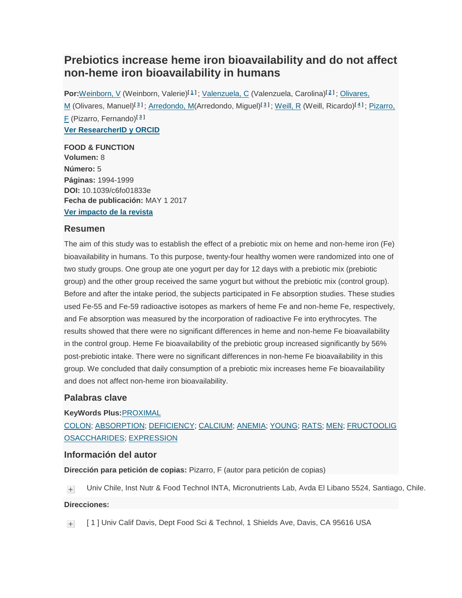# **Prebiotics increase heme iron bioavailability and do not affect non-heme iron bioavailability in humans**

**Por:**[Weinborn, V](http://apps.webofknowledge.com/DaisyOneClickSearch.do?product=WOS&search_mode=DaisyOneClickSearch&colName=WOS&SID=7FZmLYtvJ2bpCZcM3iU&author_name=Weinborn,%20V&dais_id=7178494&excludeEventConfig=ExcludeIfFromFullRecPage) (Weinborn, Valerie)<sup>[[1](http://apps.webofknowledge.com/InboundService.do?customersID=Alerting&mode=FullRecord&IsProductCode=Yes&product=WOS&Init=Yes&Func=Frame&DestFail=http%3A%2F%2Fwww.webofknowledge.com&action=retrieve&SrcApp=Alerting&SrcAuth=Alerting&SID=7FZmLYtvJ2bpCZcM3iU&UT=WOS%3A000402046800027#addressWOS:000402046800027-1)]</sup>; [Valenzuela, C](http://apps.webofknowledge.com/DaisyOneClickSearch.do?product=WOS&search_mode=DaisyOneClickSearch&colName=WOS&SID=7FZmLYtvJ2bpCZcM3iU&author_name=Valenzuela,%20C&dais_id=2051432&excludeEventConfig=ExcludeIfFromFullRecPage) (Valenzuela, Carolina)<sup>[[2](http://apps.webofknowledge.com/InboundService.do?customersID=Alerting&mode=FullRecord&IsProductCode=Yes&product=WOS&Init=Yes&Func=Frame&DestFail=http%3A%2F%2Fwww.webofknowledge.com&action=retrieve&SrcApp=Alerting&SrcAuth=Alerting&SID=7FZmLYtvJ2bpCZcM3iU&UT=WOS%3A000402046800027#addressWOS:000402046800027-2)]</sup>; Olivares, [M](http://apps.webofknowledge.com/DaisyOneClickSearch.do?product=WOS&search_mode=DaisyOneClickSearch&colName=WOS&SID=7FZmLYtvJ2bpCZcM3iU&author_name=Olivares,%20M&dais_id=113033&excludeEventConfig=ExcludeIfFromFullRecPage) (Olivares, Manuel)**[ [3](http://apps.webofknowledge.com/InboundService.do?customersID=Alerting&mode=FullRecord&IsProductCode=Yes&product=WOS&Init=Yes&Func=Frame&DestFail=http%3A%2F%2Fwww.webofknowledge.com&action=retrieve&SrcApp=Alerting&SrcAuth=Alerting&SID=7FZmLYtvJ2bpCZcM3iU&UT=WOS%3A000402046800027#addressWOS:000402046800027-3) ]** ; [Arredondo, M\(](http://apps.webofknowledge.com/DaisyOneClickSearch.do?product=WOS&search_mode=DaisyOneClickSearch&colName=WOS&SID=7FZmLYtvJ2bpCZcM3iU&author_name=Arredondo,%20M&dais_id=315629&excludeEventConfig=ExcludeIfFromFullRecPage)Arredondo, Miguel)**[ [3](http://apps.webofknowledge.com/InboundService.do?customersID=Alerting&mode=FullRecord&IsProductCode=Yes&product=WOS&Init=Yes&Func=Frame&DestFail=http%3A%2F%2Fwww.webofknowledge.com&action=retrieve&SrcApp=Alerting&SrcAuth=Alerting&SID=7FZmLYtvJ2bpCZcM3iU&UT=WOS%3A000402046800027#addressWOS:000402046800027-3) ]** ; [Weill, R](http://apps.webofknowledge.com/DaisyOneClickSearch.do?product=WOS&search_mode=DaisyOneClickSearch&colName=WOS&SID=7FZmLYtvJ2bpCZcM3iU&author_name=Weill,%20R&dais_id=1078286&excludeEventConfig=ExcludeIfFromFullRecPage) (Weill, Ricardo)**[ [4](http://apps.webofknowledge.com/InboundService.do?customersID=Alerting&mode=FullRecord&IsProductCode=Yes&product=WOS&Init=Yes&Func=Frame&DestFail=http%3A%2F%2Fwww.webofknowledge.com&action=retrieve&SrcApp=Alerting&SrcAuth=Alerting&SID=7FZmLYtvJ2bpCZcM3iU&UT=WOS%3A000402046800027#addressWOS:000402046800027-4) ]** ; [Pizarro,](http://apps.webofknowledge.com/DaisyOneClickSearch.do?product=WOS&search_mode=DaisyOneClickSearch&colName=WOS&SID=7FZmLYtvJ2bpCZcM3iU&author_name=Pizarro,%20F&dais_id=138379&excludeEventConfig=ExcludeIfFromFullRecPage)  [F](http://apps.webofknowledge.com/DaisyOneClickSearch.do?product=WOS&search_mode=DaisyOneClickSearch&colName=WOS&SID=7FZmLYtvJ2bpCZcM3iU&author_name=Pizarro,%20F&dais_id=138379&excludeEventConfig=ExcludeIfFromFullRecPage) (Pizarro, Fernando)**[ [3](http://apps.webofknowledge.com/InboundService.do?customersID=Alerting&mode=FullRecord&IsProductCode=Yes&product=WOS&Init=Yes&Func=Frame&DestFail=http%3A%2F%2Fwww.webofknowledge.com&action=retrieve&SrcApp=Alerting&SrcAuth=Alerting&SID=7FZmLYtvJ2bpCZcM3iU&UT=WOS%3A000402046800027#addressWOS:000402046800027-3) ] [Ver ResearcherID y ORCID](javascript:hide_show()**

**FOOD & FUNCTION Volumen:** 8 **Número:** 5 **Páginas:** 1994-1999 **DOI:** 10.1039/c6fo01833e **Fecha de publicación:** MAY 1 2017 **[Ver impacto de la revista](javascript:;)**

# **Resumen**

The aim of this study was to establish the effect of a prebiotic mix on heme and non-heme iron (Fe) bioavailability in humans. To this purpose, twenty-four healthy women were randomized into one of two study groups. One group ate one yogurt per day for 12 days with a prebiotic mix (prebiotic group) and the other group received the same yogurt but without the prebiotic mix (control group). Before and after the intake period, the subjects participated in Fe absorption studies. These studies used Fe-55 and Fe-59 radioactive isotopes as markers of heme Fe and non-heme Fe, respectively, and Fe absorption was measured by the incorporation of radioactive Fe into erythrocytes. The results showed that there were no significant differences in heme and non-heme Fe bioavailability in the control group. Heme Fe bioavailability of the prebiotic group increased significantly by 56% post-prebiotic intake. There were no significant differences in non-heme Fe bioavailability in this group. We concluded that daily consumption of a prebiotic mix increases heme Fe bioavailability and does not affect non-heme iron bioavailability.

# **Palabras clave**

**KeyWords Plus:**[PROXIMAL](http://apps.webofknowledge.com/OneClickSearch.do?product=WOS&search_mode=OneClickSearch&excludeEventConfig=ExcludeIfFromFullRecPage&colName=WOS&SID=7FZmLYtvJ2bpCZcM3iU&field=TS&value=PROXIMAL+COLON&uncondQuotes=true)  [COLON;](http://apps.webofknowledge.com/OneClickSearch.do?product=WOS&search_mode=OneClickSearch&excludeEventConfig=ExcludeIfFromFullRecPage&colName=WOS&SID=7FZmLYtvJ2bpCZcM3iU&field=TS&value=PROXIMAL+COLON&uncondQuotes=true) [ABSORPTION;](http://apps.webofknowledge.com/OneClickSearch.do?product=WOS&search_mode=OneClickSearch&excludeEventConfig=ExcludeIfFromFullRecPage&colName=WOS&SID=7FZmLYtvJ2bpCZcM3iU&field=TS&value=ABSORPTION&uncondQuotes=true) [DEFICIENCY;](http://apps.webofknowledge.com/OneClickSearch.do?product=WOS&search_mode=OneClickSearch&excludeEventConfig=ExcludeIfFromFullRecPage&colName=WOS&SID=7FZmLYtvJ2bpCZcM3iU&field=TS&value=DEFICIENCY&uncondQuotes=true) [CALCIUM;](http://apps.webofknowledge.com/OneClickSearch.do?product=WOS&search_mode=OneClickSearch&excludeEventConfig=ExcludeIfFromFullRecPage&colName=WOS&SID=7FZmLYtvJ2bpCZcM3iU&field=TS&value=CALCIUM&uncondQuotes=true) [ANEMIA;](http://apps.webofknowledge.com/OneClickSearch.do?product=WOS&search_mode=OneClickSearch&excludeEventConfig=ExcludeIfFromFullRecPage&colName=WOS&SID=7FZmLYtvJ2bpCZcM3iU&field=TS&value=ANEMIA&uncondQuotes=true) [YOUNG;](http://apps.webofknowledge.com/OneClickSearch.do?product=WOS&search_mode=OneClickSearch&excludeEventConfig=ExcludeIfFromFullRecPage&colName=WOS&SID=7FZmLYtvJ2bpCZcM3iU&field=TS&value=YOUNG&uncondQuotes=true) [RATS;](http://apps.webofknowledge.com/OneClickSearch.do?product=WOS&search_mode=OneClickSearch&excludeEventConfig=ExcludeIfFromFullRecPage&colName=WOS&SID=7FZmLYtvJ2bpCZcM3iU&field=TS&value=RATS&uncondQuotes=true) [MEN;](http://apps.webofknowledge.com/OneClickSearch.do?product=WOS&search_mode=OneClickSearch&excludeEventConfig=ExcludeIfFromFullRecPage&colName=WOS&SID=7FZmLYtvJ2bpCZcM3iU&field=TS&value=MEN&uncondQuotes=true) [FRUCTOOLIG](http://apps.webofknowledge.com/OneClickSearch.do?product=WOS&search_mode=OneClickSearch&excludeEventConfig=ExcludeIfFromFullRecPage&colName=WOS&SID=7FZmLYtvJ2bpCZcM3iU&field=TS&value=FRUCTOOLIGOSACCHARIDES&uncondQuotes=true) [OSACCHARIDES;](http://apps.webofknowledge.com/OneClickSearch.do?product=WOS&search_mode=OneClickSearch&excludeEventConfig=ExcludeIfFromFullRecPage&colName=WOS&SID=7FZmLYtvJ2bpCZcM3iU&field=TS&value=FRUCTOOLIGOSACCHARIDES&uncondQuotes=true) [EXPRESSION](http://apps.webofknowledge.com/OneClickSearch.do?product=WOS&search_mode=OneClickSearch&excludeEventConfig=ExcludeIfFromFullRecPage&colName=WOS&SID=7FZmLYtvJ2bpCZcM3iU&field=TS&value=EXPRESSION&uncondQuotes=true)

# **Información del autor**

**Dirección para petición de copias:** Pizarro, F (autor para petición de copias)

Univ Chile, Inst Nutr & Food Technol INTA, Micronutrients Lab, Avda El Libano 5524, Santiago, Chile.  $+$ 

#### **Direcciones:**

[ 1 ] Univ Calif Davis, Dept Food Sci & Technol, 1 Shields Ave, Davis, CA 95616 USA  $+$